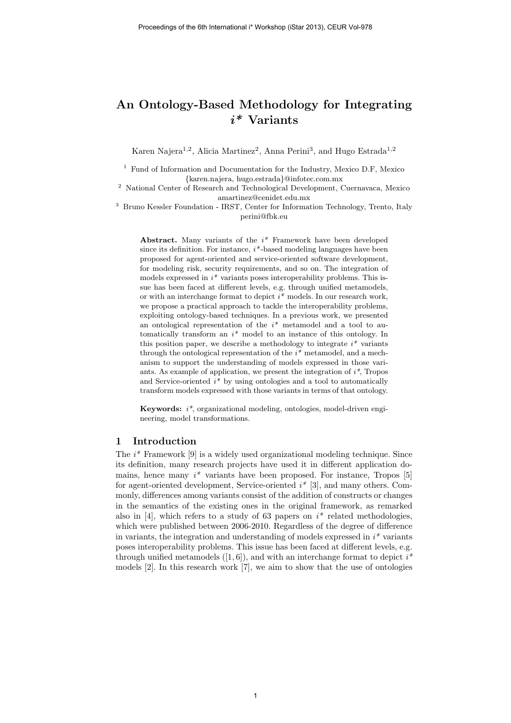# An Ontology-Based Methodology for Integrating i\* Variants

Karen Najera<sup>1,2</sup>, Alicia Martinez<sup>2</sup>, Anna Perini<sup>3</sup>, and Hugo Estrada<sup>1,2</sup>

<sup>1</sup> Fund of Information and Documentation for the Industry, Mexico D.F, Mexico {karen.najera, hugo.estrada}@infotec.com.mx

<sup>2</sup> National Center of Research and Technological Development, Cuernavaca, Mexico amartinez@cenidet.edu.mx

<sup>3</sup> Bruno Kessler Foundation - IRST, Center for Information Technology, Trento, Italy perini@fbk.eu

Abstract. Many variants of the  $i^*$  Framework have been developed since its definition. For instance,  $i^*$ -based modeling languages have been proposed for agent-oriented and service-oriented software development, for modeling risk, security requirements, and so on. The integration of models expressed in  $i^*$  variants poses interoperability problems. This issue has been faced at different levels, e.g. through unified metamodels, or with an interchange format to depict  $i^*$  models. In our research work, we propose a practical approach to tackle the interoperability problems, exploiting ontology-based techniques. In a previous work, we presented an ontological representation of the  $i^*$  metamodel and a tool to automatically transform an  $i^*$  model to an instance of this ontology. In this position paper, we describe a methodology to integrate  $i^*$  variants through the ontological representation of the  $i^*$  metamodel, and a mechanism to support the understanding of models expressed in those variants. As example of application, we present the integration of  $i^*$ , Tropos and Service-oriented  $i^*$  by using ontologies and a tool to automatically transform models expressed with those variants in terms of that ontology.

**Keywords:**  $i^*$ , organizational modeling, ontologies, model-driven engineering, model transformations.

# 1 Introduction

The  $i^*$  Framework [9] is a widely used organizational modeling technique. Since its definition, many research projects have used it in different application domains, hence many  $i^*$  variants have been proposed. For instance, Tropos [5] for agent-oriented development, Service-oriented  $i^*$  [3], and many others. Commonly, differences among variants consist of the addition of constructs or changes in the semantics of the existing ones in the original framework, as remarked also in [4], which refers to a study of 63 papers on  $i^*$  related methodologies, which were published between 2006-2010. Regardless of the degree of difference in variants, the integration and understanding of models expressed in  $i^*$  variants poses interoperability problems. This issue has been faced at different levels, e.g. through unified metamodels  $([1, 6])$ , and with an interchange format to depict  $i^*$ models [2]. In this research work [7], we aim to show that the use of ontologies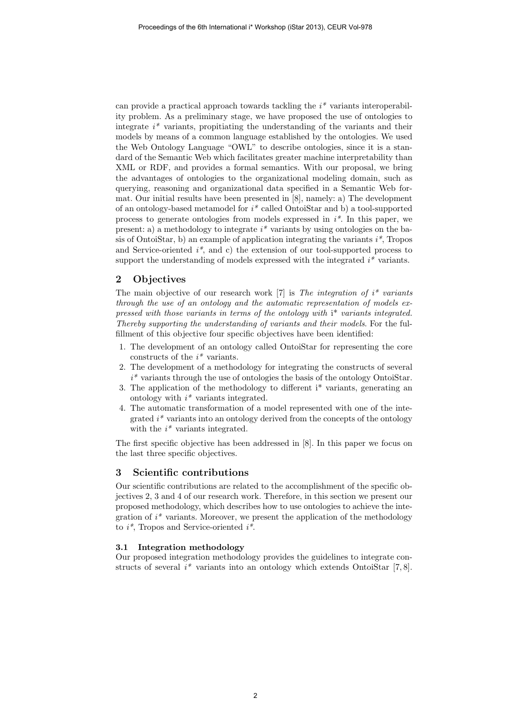can provide a practical approach towards tackling the  $i^*$  variants interoperability problem. As a preliminary stage, we have proposed the use of ontologies to integrate  $i^*$  variants, propitiating the understanding of the variants and their models by means of a common language established by the ontologies. We used the Web Ontology Language "OWL" to describe ontologies, since it is a standard of the Semantic Web which facilitates greater machine interpretability than XML or RDF, and provides a formal semantics. With our proposal, we bring the advantages of ontologies to the organizational modeling domain, such as querying, reasoning and organizational data specified in a Semantic Web format. Our initial results have been presented in [8], namely: a) The development of an ontology-based metamodel for  $i^*$  called OntoiStar and b) a tool-supported process to generate ontologies from models expressed in  $i^*$ . In this paper, we present: a) a methodology to integrate  $i^*$  variants by using ontologies on the basis of OntoiStar, b) an example of application integrating the variants  $i^*$ , Tropos and Service-oriented  $i^*$ , and c) the extension of our tool-supported process to support the understanding of models expressed with the integrated  $i^*$  variants.

## 2 Objectives

The main objective of our research work  $[7]$  is The integration of  $i^*$  variants through the use of an ontology and the automatic representation of models expressed with those variants in terms of the ontology with i\* variants integrated. Thereby supporting the understanding of variants and their models. For the fulfillment of this objective four specific objectives have been identified:

- 1. The development of an ontology called OntoiStar for representing the core constructs of the  $i^*$  variants.
- 2. The development of a methodology for integrating the constructs of several  $i^*$  variants through the use of ontologies the basis of the ontology OntoiStar.
- 3. The application of the methodology to different i\* variants, generating an ontology with  $i^*$  variants integrated.
- 4. The automatic transformation of a model represented with one of the integrated  $i^*$  variants into an ontology derived from the concepts of the ontology with the  $i^*$  variants integrated.

The first specific objective has been addressed in [8]. In this paper we focus on the last three specific objectives.

#### 3 Scientific contributions

Our scientific contributions are related to the accomplishment of the specific objectives 2, 3 and 4 of our research work. Therefore, in this section we present our proposed methodology, which describes how to use ontologies to achieve the integration of  $i^*$  variants. Moreover, we present the application of the methodology to  $i^*$ , Tropos and Service-oriented  $i^*$ .

### 3.1 Integration methodology

Our proposed integration methodology provides the guidelines to integrate constructs of several  $i^*$  variants into an ontology which extends OntoiStar [7,8].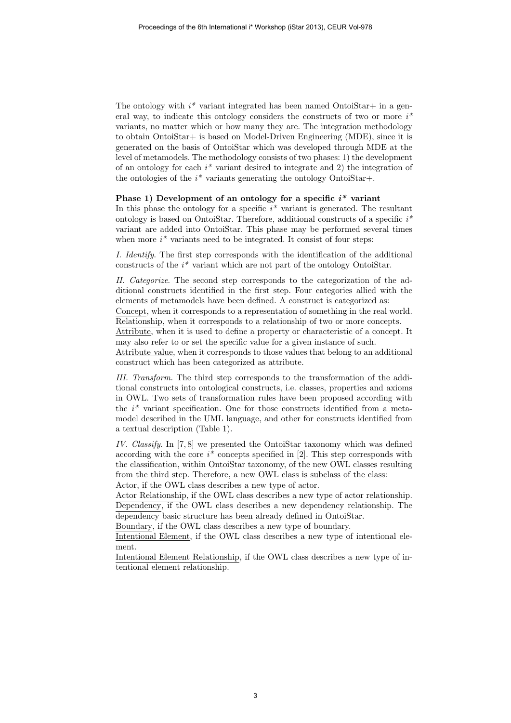The ontology with  $i^*$  variant integrated has been named OntoiStar + in a general way, to indicate this ontology considers the constructs of two or more  $i^*$ variants, no matter which or how many they are. The integration methodology to obtain OntoiStar+ is based on Model-Driven Engineering (MDE), since it is generated on the basis of OntoiStar which was developed through MDE at the level of metamodels. The methodology consists of two phases: 1) the development of an ontology for each  $i^*$  variant desired to integrate and 2) the integration of the ontologies of the  $i^*$  variants generating the ontology OntoiStar+.

#### Phase 1) Development of an ontology for a specific  $i^*$  variant

In this phase the ontology for a specific  $i^*$  variant is generated. The resultant ontology is based on OntoiStar. Therefore, additional constructs of a specific  $i^*$ variant are added into OntoiStar. This phase may be performed several times when more  $i^*$  variants need to be integrated. It consist of four steps:

I. Identify. The first step corresponds with the identification of the additional constructs of the  $i^*$  variant which are not part of the ontology OntoiStar.

II. Categorize. The second step corresponds to the categorization of the additional constructs identified in the first step. Four categories allied with the elements of metamodels have been defined. A construct is categorized as: Concept, when it corresponds to a representation of something in the real world. Relationship, when it corresponds to a relationship of two or more concepts. Attribute, when it is used to define a property or characteristic of a concept. It may also refer to or set the specific value for a given instance of such. Attribute value, when it corresponds to those values that belong to an additional construct which has been categorized as attribute.

III. Transform. The third step corresponds to the transformation of the additional constructs into ontological constructs, i.e. classes, properties and axioms in OWL. Two sets of transformation rules have been proposed according with the  $i^*$  variant specification. One for those constructs identified from a metamodel described in the UML language, and other for constructs identified from a textual description (Table 1).

IV. Classify. In [7, 8] we presented the OntoiStar taxonomy which was defined according with the core  $i^*$  concepts specified in [2]. This step corresponds with the classification, within OntoiStar taxonomy, of the new OWL classes resulting from the third step. Therefore, a new OWL class is subclass of the class:

Actor, if the OWL class describes a new type of actor.

Actor Relationship, if the OWL class describes a new type of actor relationship. Dependency, if the OWL class describes a new dependency relationship. The dependency basic structure has been already defined in OntoiStar.

Boundary, if the OWL class describes a new type of boundary.

Intentional Element, if the OWL class describes a new type of intentional element.

Intentional Element Relationship, if the OWL class describes a new type of intentional element relationship.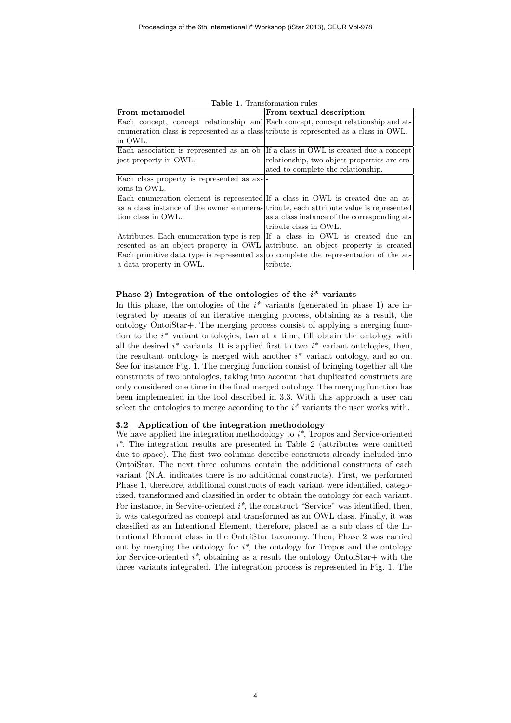| From metamodel                                                                        | From textual description                                                              |
|---------------------------------------------------------------------------------------|---------------------------------------------------------------------------------------|
|                                                                                       | Each concept, concept relationship and Each concept, concept relationship and at-     |
| enumeration class is represented as a class tribute is represented as a class in OWL. |                                                                                       |
| in OWL.                                                                               |                                                                                       |
|                                                                                       | Each association is represented as an ob-If a class in OWL is created due a concept   |
| ject property in OWL.                                                                 | relationship, two object properties are cre-                                          |
|                                                                                       | ated to complete the relationship.                                                    |
| Each class property is represented as ax-                                             |                                                                                       |
| ioms in OWL.                                                                          |                                                                                       |
|                                                                                       | Each enumeration element is represented If a class in OWL is created due an at-       |
|                                                                                       | as a class instance of the owner enumera-tribute, each attribute value is represented |
| tion class in OWL.                                                                    | as a class instance of the corresponding at-                                          |
|                                                                                       | tribute class in OWL.                                                                 |
|                                                                                       | Attributes. Each enumeration type is rep-If a class in OWL is created due an          |
|                                                                                       | resented as an object property in OWL attribute, an object property is created        |
|                                                                                       | Each primitive data type is represented as to complete the representation of the at-  |
| a data property in OWL.                                                               | tribute.                                                                              |

| <b>Table 1.</b> Transformation rules |
|--------------------------------------|
|--------------------------------------|

#### Phase 2) Integration of the ontologies of the  $i^*$  variants

In this phase, the ontologies of the  $i^*$  variants (generated in phase 1) are integrated by means of an iterative merging process, obtaining as a result, the ontology OntoiStar+. The merging process consist of applying a merging function to the  $i^*$  variant ontologies, two at a time, till obtain the ontology with all the desired  $i^*$  variants. It is applied first to two  $i^*$  variant ontologies, then, the resultant ontology is merged with another  $i^*$  variant ontology, and so on. See for instance Fig. 1. The merging function consist of bringing together all the constructs of two ontologies, taking into account that duplicated constructs are only considered one time in the final merged ontology. The merging function has been implemented in the tool described in 3.3. With this approach a user can select the ontologies to merge according to the  $i^*$  variants the user works with.

#### 3.2 Application of the integration methodology

We have applied the integration methodology to  $i^*$ , Tropos and Service-oriented  $i^*$ . The integration results are presented in Table 2 (attributes were omitted due to space). The first two columns describe constructs already included into OntoiStar. The next three columns contain the additional constructs of each variant (N.A. indicates there is no additional constructs). First, we performed Phase 1, therefore, additional constructs of each variant were identified, categorized, transformed and classified in order to obtain the ontology for each variant. For instance, in Service-oriented  $i^*$ , the construct "Service" was identified, then, it was categorized as concept and transformed as an OWL class. Finally, it was classified as an Intentional Element, therefore, placed as a sub class of the Intentional Element class in the OntoiStar taxonomy. Then, Phase 2 was carried out by merging the ontology for  $i^*$ , the ontology for Tropos and the ontology for Service-oriented  $i^*$ , obtaining as a result the ontology OntoiStar + with the three variants integrated. The integration process is represented in Fig. 1. The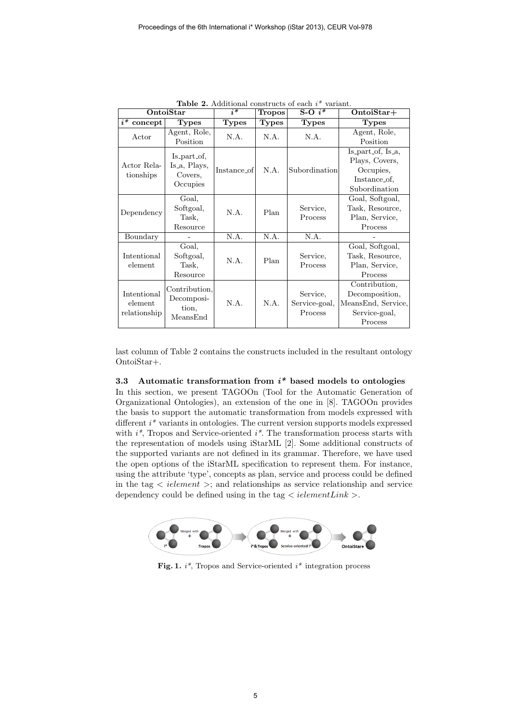| OntoiStar                              |                                                    | $i^*$        | <b>Tropos</b> | S-O $i^*$                            | $OntoiStar+$                                                                      |
|----------------------------------------|----------------------------------------------------|--------------|---------------|--------------------------------------|-----------------------------------------------------------------------------------|
| $i^*$<br>concept                       | <b>Types</b>                                       | <b>Types</b> | <b>Types</b>  | <b>Types</b>                         | <b>Types</b>                                                                      |
| Actor                                  | Agent, Role,<br>Position                           | N.A.         | N.A.          | N.A.                                 | Agent, Role,<br>Position                                                          |
| Actor Rela-<br>tionships               | Is_part_of,<br>Is_a, Plays,<br>Covers,<br>Occupies | Instance_of  | N.A.          | Subordination                        | Is_part_of, Is_a,<br>Plays, Covers,<br>Occupies,<br>Instance of,<br>Subordination |
| Dependency                             | Goal,<br>Softgoal,<br>Task,<br>Resource            | N.A.         | Plan          | Service,<br>Process                  | Goal, Softgoal,<br>Task, Resource,<br>Plan, Service,<br>Process                   |
| Boundary                               |                                                    | N.A.         | N.A.          | N.A.                                 |                                                                                   |
| Intentional<br>element                 | Goal,<br>Softgoal,<br>Task,<br>Resource            | N.A.         | Plan          | Service,<br>Process                  | Goal, Softgoal,<br>Task, Resource,<br>Plan, Service,<br>Process                   |
| Intentional<br>element<br>relationship | Contribution,<br>Decomposi-<br>tion,<br>MeansEnd   | N.A.         | N.A.          | Service,<br>Service-goal,<br>Process | Contribution.<br>Decomposition,<br>MeansEnd, Service,<br>Service-goal,<br>Process |

**Table 2.** Additional constructs of each  $i^*$  variant.

last column of Table 2 contains the constructs included in the resultant ontology OntoiStar+.

# 3.3 Automatic transformation from  $i^*$  based models to ontologies

In this section, we present TAGOOn (Tool for the Automatic Generation of Organizational Ontologies), an extension of the one in [8]. TAGOOn provides the basis to support the automatic transformation from models expressed with different  $i^*$  variants in ontologies. The current version supports models expressed with  $i^*$ , Tropos and Service-oriented  $i^*$ . The transformation process starts with the representation of models using iStarML [2]. Some additional constructs of the supported variants are not defined in its grammar. Therefore, we have used the open options of the iStarML specification to represent them. For instance, using the attribute 'type', concepts as plan, service and process could be defined in the tag  $\langle$  *ielement*  $\rangle$ ; and relationships as service relationship and service dependency could be defined using in the tag  $\langle$  ielementLink  $\rangle$ .



Fig. 1.  $i^*$ , Tropos and Service-oriented  $i^*$  integration process